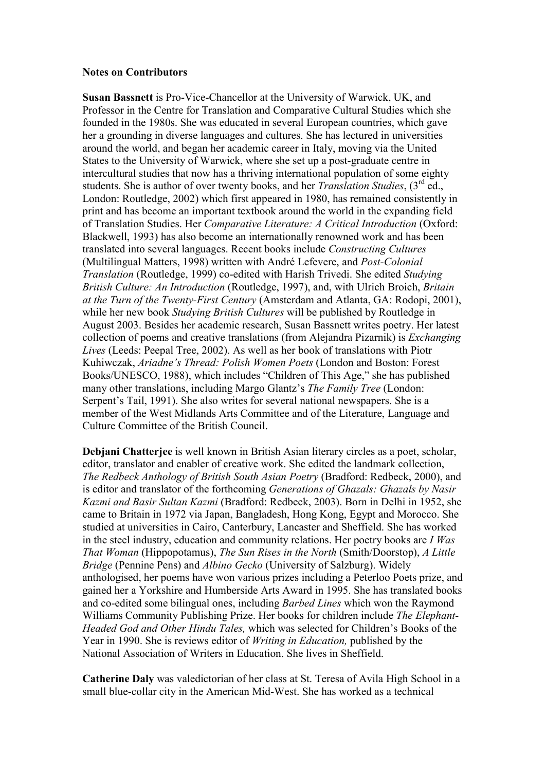## **Notes on Contributors**

**Susan Bassnett** is Pro-Vice-Chancellor at the University of Warwick, UK, and Professor in the Centre for Translation and Comparative Cultural Studies which she founded in the 1980s. She was educated in several European countries, which gave her a grounding in diverse languages and cultures. She has lectured in universities around the world, and began her academic career in Italy, moving via the United States to the University of Warwick, where she set up a post-graduate centre in intercultural studies that now has a thriving international population of some eighty students. She is author of over twenty books, and her *Translation Studies*, (3rd ed., London: Routledge, 2002) which first appeared in 1980, has remained consistently in print and has become an important textbook around the world in the expanding field of Translation Studies. Her *Comparative Literature: A Critical Introduction* (Oxford: Blackwell, 1993) has also become an internationally renowned work and has been translated into several languages. Recent books include *Constructing Cultures* (Multilingual Matters, 1998) written with André Lefevere, and *Post-Colonial Translation* (Routledge, 1999) co-edited with Harish Trivedi. She edited *Studying British Culture: An Introduction* (Routledge, 1997), and, with Ulrich Broich, *Britain at the Turn of the Twenty-First Century* (Amsterdam and Atlanta, GA: Rodopi, 2001), while her new book *Studying British Cultures* will be published by Routledge in August 2003. Besides her academic research, Susan Bassnett writes poetry. Her latest collection of poems and creative translations (from Alejandra Pizarnik) is *Exchanging Lives* (Leeds: Peepal Tree, 2002). As well as her book of translations with Piotr Kuhiwczak, *Ariadne's Thread: Polish Women Poets* (London and Boston: Forest Books/UNESCO, 1988), which includes "Children of This Age," she has published many other translations, including Margo Glantz's *The Family Tree* (London: Serpent's Tail, 1991). She also writes for several national newspapers. She is a member of the West Midlands Arts Committee and of the Literature, Language and Culture Committee of the British Council.

**Debjani Chatterjee** is well known in British Asian literary circles as a poet, scholar, editor, translator and enabler of creative work. She edited the landmark collection, *The Redbeck Anthology of British South Asian Poetry* (Bradford: Redbeck, 2000), and is editor and translator of the forthcoming *Generations of Ghazals: Ghazals by Nasir Kazmi and Basir Sultan Kazmi* (Bradford: Redbeck, 2003). Born in Delhi in 1952, she came to Britain in 1972 via Japan, Bangladesh, Hong Kong, Egypt and Morocco. She studied at universities in Cairo, Canterbury, Lancaster and Sheffield. She has worked in the steel industry, education and community relations. Her poetry books are *I Was That Woman* (Hippopotamus), *The Sun Rises in the North* (Smith/Doorstop), *A Little Bridge* (Pennine Pens) and *Albino Gecko* (University of Salzburg). Widely anthologised, her poems have won various prizes including a Peterloo Poets prize, and gained her a Yorkshire and Humberside Arts Award in 1995. She has translated books and co-edited some bilingual ones, including *Barbed Lines* which won the Raymond Williams Community Publishing Prize. Her books for children include *The Elephant-Headed God and Other Hindu Tales,* which was selected for Children's Books of the Year in 1990. She is reviews editor of *Writing in Education,* published by the National Association of Writers in Education. She lives in Sheffield.

**Catherine Daly** was valedictorian of her class at St. Teresa of Avila High School in a small blue-collar city in the American Mid-West. She has worked as a technical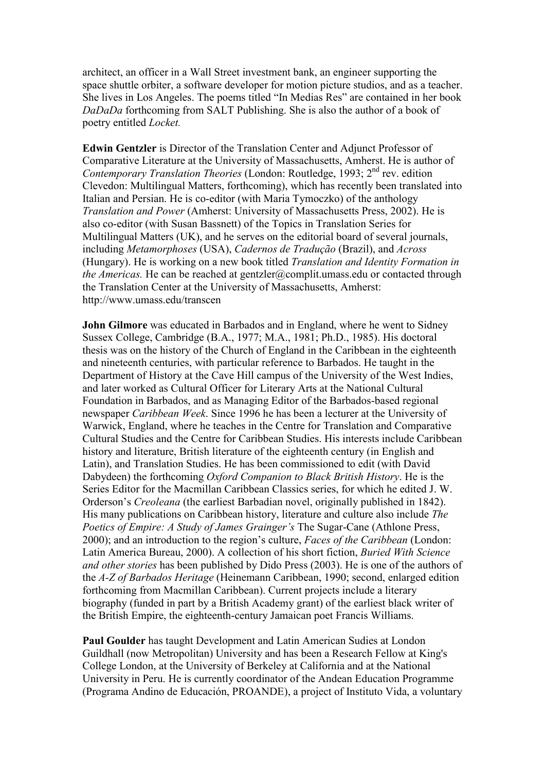architect, an officer in a Wall Street investment bank, an engineer supporting the space shuttle orbiter, a software developer for motion picture studios, and as a teacher. She lives in Los Angeles. The poems titled "In Medias Res" are contained in her book *DaDaDa* forthcoming from SALT Publishing. She is also the author of a book of poetry entitled *Locket.* 

**Edwin Gentzler** is Director of the Translation Center and Adjunct Professor of Comparative Literature at the University of Massachusetts, Amherst. He is author of *Contemporary Translation Theories* (London: Routledge, 1993; 2<sup>nd</sup> rev. edition Clevedon: Multilingual Matters, forthcoming), which has recently been translated into Italian and Persian. He is co-editor (with Maria Tymoczko) of the anthology *Translation and Power* (Amherst: University of Massachusetts Press, 2002). He is also co-editor (with Susan Bassnett) of the Topics in Translation Series for Multilingual Matters (UK), and he serves on the editorial board of several journals, including *Metamorphoses* (USA), *Cadernos de Tradução* (Brazil), and *Across*  (Hungary). He is working on a new book titled *Translation and Identity Formation in the Americas.* He can be reached at gentzler@complit.umass.edu or contacted through the Translation Center at the University of Massachusetts, Amherst: http://www.umass.edu/transcen

**John Gilmore** was educated in Barbados and in England, where he went to Sidney Sussex College, Cambridge (B.A., 1977; M.A., 1981; Ph.D., 1985). His doctoral thesis was on the history of the Church of England in the Caribbean in the eighteenth and nineteenth centuries, with particular reference to Barbados. He taught in the Department of History at the Cave Hill campus of the University of the West Indies, and later worked as Cultural Officer for Literary Arts at the National Cultural Foundation in Barbados, and as Managing Editor of the Barbados-based regional newspaper *Caribbean Week*. Since 1996 he has been a lecturer at the University of Warwick, England, where he teaches in the Centre for Translation and Comparative Cultural Studies and the Centre for Caribbean Studies. His interests include Caribbean history and literature, British literature of the eighteenth century (in English and Latin), and Translation Studies. He has been commissioned to edit (with David Dabydeen) the forthcoming *Oxford Companion to Black British History*. He is the Series Editor for the Macmillan Caribbean Classics series, for which he edited J. W. Orderson's *Creoleana* (the earliest Barbadian novel, originally published in 1842). His many publications on Caribbean history, literature and culture also include *The Poetics of Empire: A Study of James Grainger's* The Sugar-Cane (Athlone Press, 2000); and an introduction to the region's culture, *Faces of the Caribbean* (London: Latin America Bureau, 2000). A collection of his short fiction, *Buried With Science and other stories* has been published by Dido Press (2003). He is one of the authors of the *A-Z of Barbados Heritage* (Heinemann Caribbean, 1990; second, enlarged edition forthcoming from Macmillan Caribbean). Current projects include a literary biography (funded in part by a British Academy grant) of the earliest black writer of the British Empire, the eighteenth-century Jamaican poet Francis Williams.

**Paul Goulder** has taught Development and Latin American Sudies at London Guildhall (now Metropolitan) University and has been a Research Fellow at King's College London, at the University of Berkeley at California and at the National University in Peru. He is currently coordinator of the Andean Education Programme (Programa Andino de Educación, PROANDE), a project of Instituto Vida, a voluntary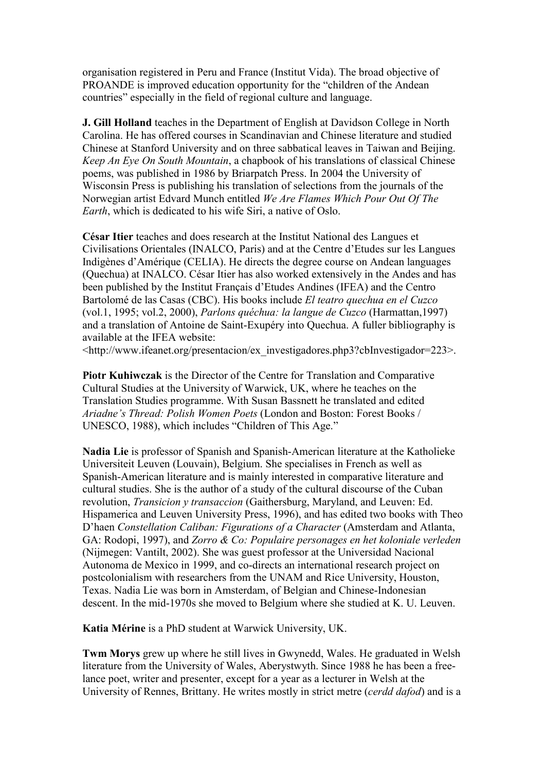organisation registered in Peru and France (Institut Vida). The broad objective of PROANDE is improved education opportunity for the "children of the Andean countries" especially in the field of regional culture and language.

**J. Gill Holland** teaches in the Department of English at Davidson College in North Carolina. He has offered courses in Scandinavian and Chinese literature and studied Chinese at Stanford University and on three sabbatical leaves in Taiwan and Beijing. *Keep An Eye On South Mountain*, a chapbook of his translations of classical Chinese poems, was published in 1986 by Briarpatch Press. In 2004 the University of Wisconsin Press is publishing his translation of selections from the journals of the Norwegian artist Edvard Munch entitled *We Are Flames Which Pour Out Of The Earth*, which is dedicated to his wife Siri, a native of Oslo.

**César Itier** teaches and does research at the Institut National des Langues et Civilisations Orientales (INALCO, Paris) and at the Centre d'Etudes sur les Langues Indigènes d'Amérique (CELIA). He directs the degree course on Andean languages (Quechua) at INALCO. César Itier has also worked extensively in the Andes and has been published by the Institut Français d'Etudes Andines (IFEA) and the Centro Bartolomé de las Casas (CBC). His books include *El teatro quechua en el Cuzco*  (vol.1, 1995; vol.2, 2000), *Parlons quéchua: la langue de Cuzco* (Harmattan,1997) and a translation of Antoine de Saint-Exupéry into Quechua. A fuller bibliography is available at the IFEA website:

<http://www.ifeanet.org/presentacion/ex\_investigadores.php3?cbInvestigador=223>.

**Piotr Kuhiwczak** is the Director of the Centre for Translation and Comparative Cultural Studies at the University of Warwick, UK, where he teaches on the Translation Studies programme. With Susan Bassnett he translated and edited *Ariadne's Thread: Polish Women Poets* (London and Boston: Forest Books / UNESCO, 1988), which includes "Children of This Age."

**Nadia Lie** is professor of Spanish and Spanish-American literature at the Katholieke Universiteit Leuven (Louvain), Belgium. She specialises in French as well as Spanish-American literature and is mainly interested in comparative literature and cultural studies. She is the author of a study of the cultural discourse of the Cuban revolution, *Transicion y transaccion* (Gaithersburg, Maryland, and Leuven: Ed. Hispamerica and Leuven University Press, 1996), and has edited two books with Theo D'haen *Constellation Caliban: Figurations of a Character* (Amsterdam and Atlanta, GA: Rodopi, 1997), and *Zorro & Co: Populaire personages en het koloniale verleden*  (Nijmegen: Vantilt, 2002). She was guest professor at the Universidad Nacional Autonoma de Mexico in 1999, and co-directs an international research project on postcolonialism with researchers from the UNAM and Rice University, Houston, Texas. Nadia Lie was born in Amsterdam, of Belgian and Chinese-Indonesian descent. In the mid-1970s she moved to Belgium where she studied at K. U. Leuven.

**Katia Mérine** is a PhD student at Warwick University, UK.

**Twm Morys** grew up where he still lives in Gwynedd, Wales. He graduated in Welsh literature from the University of Wales, Aberystwyth. Since 1988 he has been a freelance poet, writer and presenter, except for a year as a lecturer in Welsh at the University of Rennes, Brittany. He writes mostly in strict metre (*cerdd dafod*) and is a